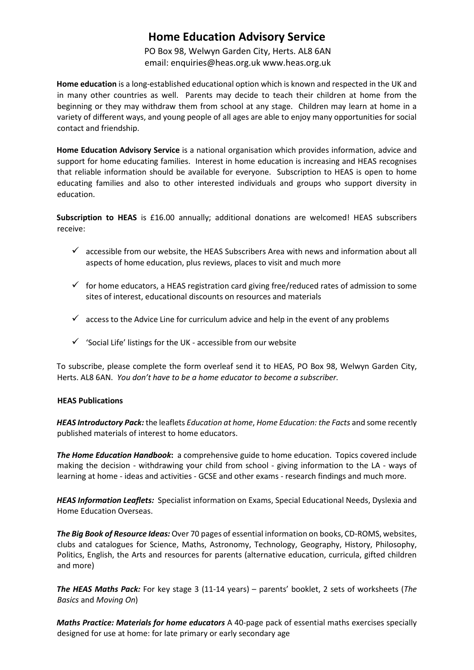## **Home Education Advisory Service**

PO Box 98, Welwyn Garden City, Herts. AL8 6AN email: enquiries@heas.org.uk www.heas.org.uk

**Home education** is a long-established educational option which is known and respected in the UK and in many other countries as well. Parents may decide to teach their children at home from the beginning or they may withdraw them from school at any stage. Children may learn at home in a variety of different ways, and young people of all ages are able to enjoy many opportunities for social contact and friendship.

**Home Education Advisory Service** is a national organisation which provides information, advice and support for home educating families. Interest in home education is increasing and HEAS recognises that reliable information should be available for everyone. Subscription to HEAS is open to home educating families and also to other interested individuals and groups who support diversity in education.

**Subscription to HEAS** is £16.00 annually; additional donations are welcomed! HEAS subscribers receive:

- $\checkmark$  accessible from our website, the HEAS Subscribers Area with news and information about all aspects of home education, plus reviews, places to visit and much more
- $\checkmark$  for home educators, a HEAS registration card giving free/reduced rates of admission to some sites of interest, educational discounts on resources and materials
- $\checkmark$  access to the Advice Line for curriculum advice and help in the event of any problems
- $\checkmark$  'Social Life' listings for the UK accessible from our website

To subscribe, please complete the form overleaf send it to HEAS, PO Box 98, Welwyn Garden City, Herts. AL8 6AN. *You don't have to be a home educator to become a subscriber.* 

## **HEAS Publications**

*HEAS Introductory Pack:* the leaflets *Education at home*, *Home Education: the Facts* and some recently published materials of interest to home educators.

*The Home Education Handbook***:** a comprehensive guide to home education. Topics covered include making the decision - withdrawing your child from school - giving information to the LA - ways of learning at home - ideas and activities - GCSE and other exams - research findings and much more.

*HEAS Information Leaflets:* Specialist information on Exams, Special Educational Needs, Dyslexia and Home Education Overseas.

*The Big Book of Resource Ideas:* Over 70 pages of essential information on books, CD-ROMS, websites, clubs and catalogues for Science, Maths, Astronomy, Technology, Geography, History, Philosophy, Politics, English, the Arts and resources for parents (alternative education, curricula, gifted children and more)

*The HEAS Maths Pack:* For key stage 3 (11-14 years) – parents' booklet, 2 sets of worksheets (*The Basics* and *Moving On*)

*Maths Practice: Materials for home educators* A 40-page pack of essential maths exercises specially designed for use at home: for late primary or early secondary age